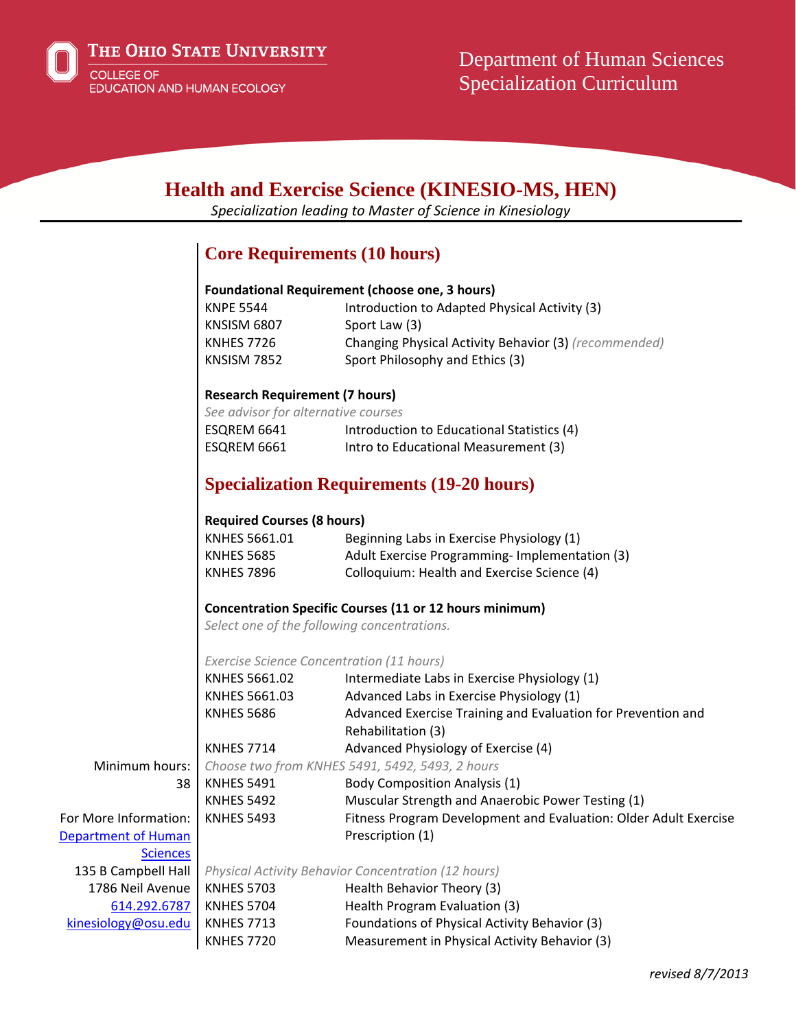

# **Health and Exercise Science (KINESIO-MS, HEN)**

*Specialization leading to Master of Science in Kinesiology*

# **Core Requirements (10 hours)**

#### **Foundational Requirement (choose one, 3 hours)**

| Introduction to Adapted Physical Activity (3)         |
|-------------------------------------------------------|
| Sport Law (3)                                         |
| Changing Physical Activity Behavior (3) (recommended) |
| Sport Philosophy and Ethics (3)                       |
|                                                       |

#### **Research Requirement (7 hours)**

| See advisor for alternative courses |                                            |  |  |  |
|-------------------------------------|--------------------------------------------|--|--|--|
| ESQREM 6641                         | Introduction to Educational Statistics (4) |  |  |  |
| ESQREM 6661                         | Intro to Educational Measurement (3)       |  |  |  |

# **Specialization Requirements (19-20 hours)**

#### **Required Courses (8 hours)**

| KNHES 5661.01     | Beginning Labs in Exercise Physiology (1)     |
|-------------------|-----------------------------------------------|
| <b>KNHES 5685</b> | Adult Exercise Programming-Implementation (3) |
| <b>KNHES 7896</b> | Colloquium: Health and Exercise Science (4)   |

#### **Concentration Specific Courses (11 or 12 hours minimum)**

*Select one of the following concentrations.*

#### *Exercise Science Concentration (11 hours)*

|                       | KNHES 5661.02                                              | Intermediate Labs in Exercise Physiology (1)                     |  |
|-----------------------|------------------------------------------------------------|------------------------------------------------------------------|--|
|                       | KNHES 5661.03                                              | Advanced Labs in Exercise Physiology (1)                         |  |
|                       | <b>KNHES 5686</b>                                          | Advanced Exercise Training and Evaluation for Prevention and     |  |
|                       |                                                            | Rehabilitation (3)                                               |  |
|                       | <b>KNHES 7714</b>                                          | Advanced Physiology of Exercise (4)                              |  |
| Minimum hours:        | Choose two from KNHES 5491, 5492, 5493, 2 hours            |                                                                  |  |
| 38                    | <b>KNHES 5491</b>                                          | <b>Body Composition Analysis (1)</b>                             |  |
|                       | <b>KNHES 5492</b>                                          | Muscular Strength and Anaerobic Power Testing (1)                |  |
| For More Information: | <b>KNHES 5493</b>                                          | Fitness Program Development and Evaluation: Older Adult Exercise |  |
| Department of Human   |                                                            | Prescription (1)                                                 |  |
| <b>Sciences</b>       |                                                            |                                                                  |  |
| 135 B Campbell Hall   | <b>Physical Activity Behavior Concentration (12 hours)</b> |                                                                  |  |
| 1786 Neil Avenue      | <b>KNHES 5703</b>                                          | Health Behavior Theory (3)                                       |  |
| 614.292.6787          | <b>KNHES 5704</b>                                          | Health Program Evaluation (3)                                    |  |
| kinesiology@osu.edu   | <b>KNHES 7713</b>                                          | Foundations of Physical Activity Behavior (3)                    |  |
|                       | <b>KNHES 7720</b>                                          | Measurement in Physical Activity Behavior (3)                    |  |